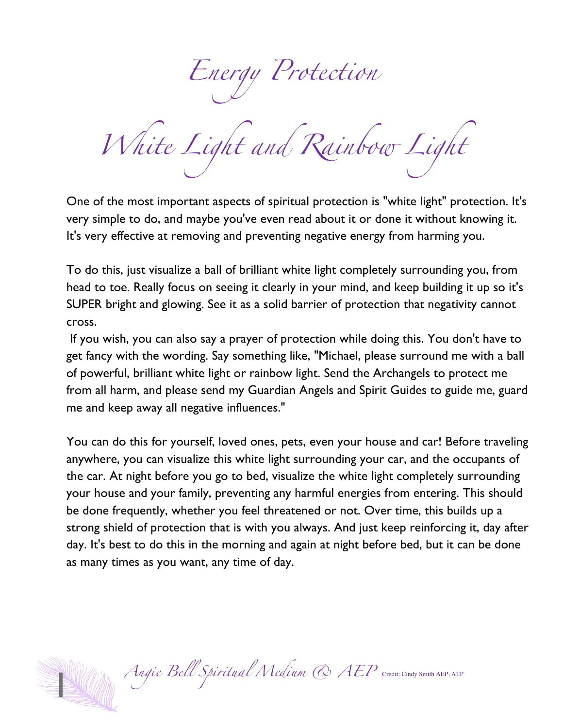Energy Protection

White Light and Rainbow Light

One of the most important aspects of spiritual protection is "white light" protection. It's very simple to do, and maybe you've even read about it or done it without knowing it. It's very effective at removing and preventing negative energy from harming you.

To do this, just visualize a ball of brilliant white light completely surrounding you, from head to toe. Really focus on seeing it clearly in your mind, and keep building it up so it's SUPER bright and glowing. See it as a solid barrier of protection that negativity cannot cross.

If you wish, you can also say a prayer of protection while doing this. You don't have to get fancy with the wording. Say something like, "Michael, please surround me with a ball of powerful, brilliant white light or rainbow light. Send the Archangels to protect me from all harm, and please send my Guardian Angels and Spirit Guides to guide me, guard me and keep away all negative influences."

You can do this for yourself, loved ones, pets, even your house and car! Before traveling anywhere, you can visualize this white light surrounding your car, and the occupants of the car. At night before you go to bed, visualize the white light completely surrounding your house and your family, preventing any harmful energies from entering. This should be done frequently, whether you feel threatened or not. Over time, this builds up a strong shield of protection that is with you always. And just keep reinforcing it, day after day. It's best to do this in the morning and again at night before bed, but it can be done as many times as you want, any time of day.

Angie Bell Spiritual Medium & AEP Credit: Cindy Smith AEP, ATP